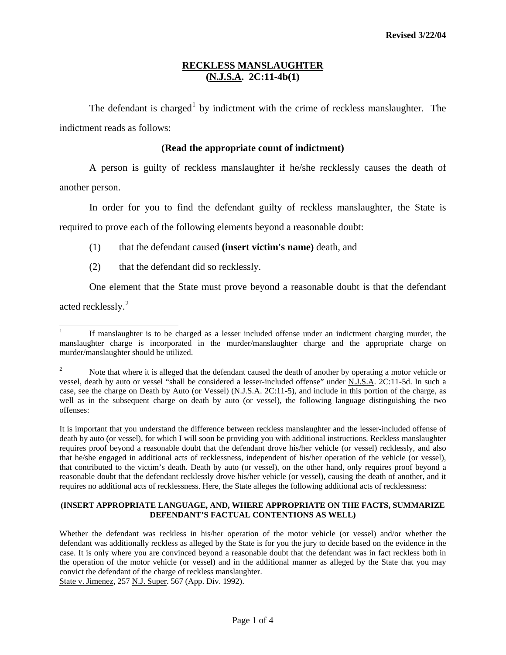## **RECKLESS MANSLAUGHTER (N.J.S.A. 2C:11-4b(1)**

The defendant is charged<sup>[1](#page-0-0)</sup> by indictment with the crime of reckless manslaughter. The indictment reads as follows:

## **(Read the appropriate count of indictment)**

 A person is guilty of reckless manslaughter if he/she recklessly causes the death of another person.

 In order for you to find the defendant guilty of reckless manslaughter, the State is required to prove each of the following elements beyond a reasonable doubt:

- (1) that the defendant caused **(insert victim's name)** death, and
- (2) that the defendant did so recklessly.

One element that the State must prove beyond a reasonable doubt is that the defendant

acted recklessly.<sup>[2](#page-0-1)</sup>

It is important that you understand the difference between reckless manslaughter and the lesser-included offense of death by auto (or vessel), for which I will soon be providing you with additional instructions. Reckless manslaughter requires proof beyond a reasonable doubt that the defendant drove his/her vehicle (or vessel) recklessly, and also that he/she engaged in additional acts of recklessness, independent of his/her operation of the vehicle (or vessel), that contributed to the victim's death. Death by auto (or vessel), on the other hand, only requires proof beyond a reasonable doubt that the defendant recklessly drove his/her vehicle (or vessel), causing the death of another, and it requires no additional acts of recklessness. Here, the State alleges the following additional acts of recklessness:

## **(INSERT APPROPRIATE LANGUAGE, AND, WHERE APPROPRIATE ON THE FACTS, SUMMARIZE DEFENDANT'S FACTUAL CONTENTIONS AS WELL)**

Whether the defendant was reckless in his/her operation of the motor vehicle (or vessel) and/or whether the defendant was additionally reckless as alleged by the State is for you the jury to decide based on the evidence in the case. It is only where you are convinced beyond a reasonable doubt that the defendant was in fact reckless both in the operation of the motor vehicle (or vessel) and in the additional manner as alleged by the State that you may convict the defendant of the charge of reckless manslaughter. State v. Jimenez, 257 N.J. Super. 567 (App. Div. 1992).

<span id="page-0-0"></span>l 1 If manslaughter is to be charged as a lesser included offense under an indictment charging murder, the manslaughter charge is incorporated in the murder/manslaughter charge and the appropriate charge on murder/manslaughter should be utilized.

<span id="page-0-2"></span><span id="page-0-1"></span><sup>2</sup> Note that where it is alleged that the defendant caused the death of another by operating a motor vehicle or vessel, death by auto or vessel "shall be considered a lesser-included offense" under N.J.S.A. 2C:11-5d. In such a case, see the charge on Death by Auto (or Vessel) (N.J.S.A. 2C:11-5), and include in this portion of the charge, as well as in the subsequent charge on death by auto (or vessel), the following language distinguishing the two offenses: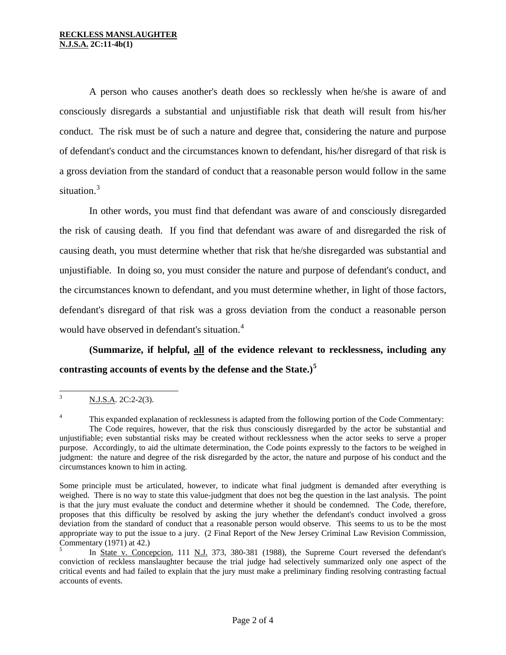A person who causes another's death does so recklessly when he/she is aware of and consciously disregards a substantial and unjustifiable risk that death will result from his/her conduct. The risk must be of such a nature and degree that, considering the nature and purpose of defendant's conduct and the circumstances known to defendant, his/her disregard of that risk is a gross deviation from the standard of conduct that a reasonable person would follow in the same situation. $3$ 

 In other words, you must find that defendant was aware of and consciously disregarded the risk of causing death. If you find that defendant was aware of and disregarded the risk of causing death, you must determine whether that risk that he/she disregarded was substantial and unjustifiable. In doing so, you must consider the nature and purpose of defendant's conduct, and the circumstances known to defendant, and you must determine whether, in light of those factors, defendant's disregard of that risk was a gross deviation from the conduct a reasonable person would have observed in defendant's situation.<sup>[4](#page-1-0)</sup>

**(Summarize, if helpful, all of the evidence relevant to recklessness, including any contrasting accounts of events by the defense and the State.)[5](#page-1-1)**

 3 N.J.S.A. 2C:2-2(3).

<span id="page-1-0"></span><sup>4</sup> This expanded explanation of recklessness is adapted from the following portion of the Code Commentary: The Code requires, however, that the risk thus consciously disregarded by the actor be substantial and unjustifiable; even substantial risks may be created without recklessness when the actor seeks to serve a proper purpose. Accordingly, to aid the ultimate determination, the Code points expressly to the factors to be weighed in judgment: the nature and degree of the risk disregarded by the actor, the nature and purpose of his conduct and the circumstances known to him in acting.

Some principle must be articulated, however, to indicate what final judgment is demanded after everything is weighed. There is no way to state this value-judgment that does not beg the question in the last analysis. The point is that the jury must evaluate the conduct and determine whether it should be condemned. The Code, therefore, proposes that this difficulty be resolved by asking the jury whether the defendant's conduct involved a gross deviation from the standard of conduct that a reasonable person would observe. This seems to us to be the most appropriate way to put the issue to a jury. (2 Final Report of the New Jersey Criminal Law Revision Commission, Commentary (1971) at 42.)

<span id="page-1-2"></span><span id="page-1-1"></span><sup>5</sup> In State v. Concepcion, 111 N.J. 373, 380-381 (1988), the Supreme Court reversed the defendant's conviction of reckless manslaughter because the trial judge had selectively summarized only one aspect of the critical events and had failed to explain that the jury must make a preliminary finding resolving contrasting factual accounts of events.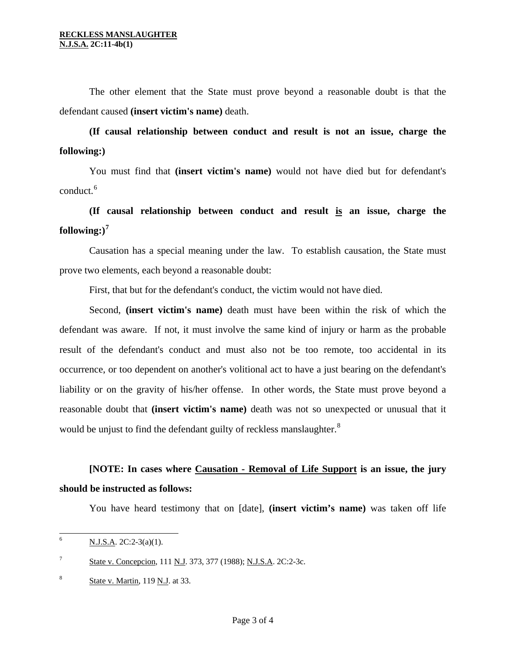The other element that the State must prove beyond a reasonable doubt is that the defendant caused **(insert victim's name)** death.

**(If causal relationship between conduct and result is not an issue, charge the following:)** 

 You must find that **(insert victim's name)** would not have died but for defendant's conduct.<sup>[6](#page-1-2)</sup>

**(If causal relationship between conduct and result is an issue, charge the**   $\textbf{following:}\text{)}^7$ 

 Causation has a special meaning under the law. To establish cau sation, the State must prove two elements, each beyond a reasonable doubt:

First, that but for the defendant's conduct, the victim would not have died.

reasonable doubt that (insert victim's name) death was not so unexpected or unusual that it would be unjust to find the defendant guilty of reckless manslaughter. $8$  Second, **(insert victim's name)** death must have been within the risk of which the defendant was aware. If not, it must involve the same kind of injury or harm as the probable result of the defendant's conduct and must also not be too remote, too accidental in its occurrence, or too dependent on another's volitional act to have a just bearing on the defendant's liability or on the gravity of his/her offense. In other words, the State must prove beyond a

**[NOTE: In cases where Causation - Removal of Life Support is an issue, the jury should be instructed as follows:** 

You have heard testimony that on [date], **(insert victim's name)** was taken off life

<span id="page-2-0"></span> 6 N.J.S.A. 2C:2-3(a)(1).

<sup>7</sup> State v. Concepcion, 111 N.J. 373, 377 (1988); N.J.S.A. 2C:2-3c.

<sup>8</sup> State v. Martin, 119 N.J. at 33.